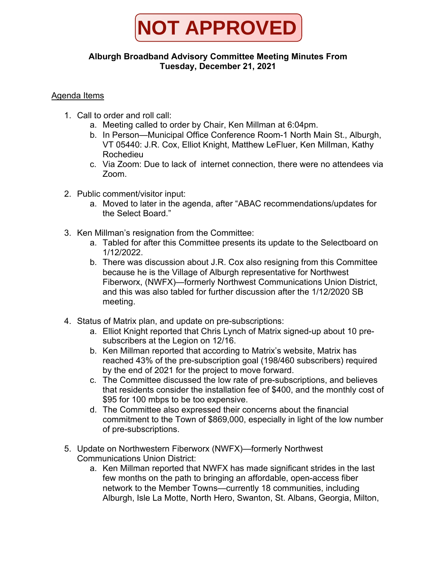

## **Alburgh Broadband Advisory Committee Meeting Minutes From Tuesday, December 21, 2021**

## Agenda Items

- 1. Call to order and roll call:
	- a. Meeting called to order by Chair, Ken Millman at 6:04pm.
	- b. In Person—Municipal Office Conference Room-1 North Main St., Alburgh, VT 05440: J.R. Cox, Elliot Knight, Matthew LeFluer, Ken Millman, Kathy Rochedieu
	- c. Via Zoom: Due to lack of internet connection, there were no attendees via Zoom.
- 2. Public comment/visitor input:
	- a. Moved to later in the agenda, after "ABAC recommendations/updates for the Select Board."
- 3. Ken Millman's resignation from the Committee:
	- a. Tabled for after this Committee presents its update to the Selectboard on 1/12/2022.
	- b. There was discussion about J.R. Cox also resigning from this Committee because he is the Village of Alburgh representative for Northwest Fiberworx, (NWFX)—formerly Northwest Communications Union District, and this was also tabled for further discussion after the 1/12/2020 SB meeting.
- 4. Status of Matrix plan, and update on pre-subscriptions:
	- a. Elliot Knight reported that Chris Lynch of Matrix signed-up about 10 presubscribers at the Legion on 12/16.
	- b. Ken Millman reported that according to Matrix's website, Matrix has reached 43% of the pre-subscription goal (198/460 subscribers) required by the end of 2021 for the project to move forward.
	- c. The Committee discussed the low rate of pre-subscriptions, and believes that residents consider the installation fee of \$400, and the monthly cost of \$95 for 100 mbps to be too expensive.
	- d. The Committee also expressed their concerns about the financial commitment to the Town of \$869,000, especially in light of the low number of pre-subscriptions.
- 5. Update on Northwestern Fiberworx (NWFX)—formerly Northwest Communications Union District:
	- a. Ken Millman reported that NWFX has made significant strides in the last few months on the path to bringing an affordable, open-access fiber network to the Member Towns—currently 18 communities, including Alburgh, Isle La Motte, North Hero, Swanton, St. Albans, Georgia, Milton,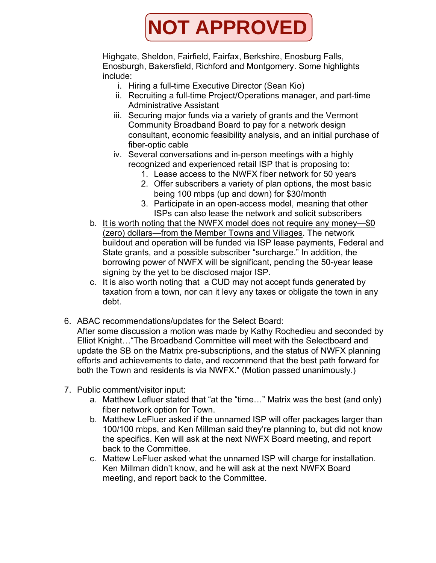

Highgate, Sheldon, Fairfield, Fairfax, Berkshire, Enosburg Falls, Enosburgh, Bakersfield, Richford and Montgomery. Some highlights include:

- i. Hiring a full-time Executive Director (Sean Kio)
- ii. Recruiting a full-time Project/Operations manager, and part-time Administrative Assistant
- iii. Securing major funds via a variety of grants and the Vermont Community Broadband Board to pay for a network design consultant, economic feasibility analysis, and an initial purchase of fiber-optic cable
- iv. Several conversations and in-person meetings with a highly recognized and experienced retail ISP that is proposing to:
	- 1. Lease access to the NWFX fiber network for 50 years
	- 2. Offer subscribers a variety of plan options, the most basic being 100 mbps (up and down) for \$30/month
	- 3. Participate in an open-access model, meaning that other ISPs can also lease the network and solicit subscribers
- b. It is worth noting that the NWFX model does not require any money—\$0 (zero) dollars—from the Member Towns and Villages. The network buildout and operation will be funded via ISP lease payments, Federal and State grants, and a possible subscriber "surcharge." In addition, the borrowing power of NWFX will be significant, pending the 50-year lease signing by the yet to be disclosed major ISP.
- c. It is also worth noting that a CUD may not accept funds generated by taxation from a town, nor can it levy any taxes or obligate the town in any debt.
- 6. ABAC recommendations/updates for the Select Board:

After some discussion a motion was made by Kathy Rochedieu and seconded by Elliot Knight…"The Broadband Committee will meet with the Selectboard and update the SB on the Matrix pre-subscriptions, and the status of NWFX planning efforts and achievements to date, and recommend that the best path forward for both the Town and residents is via NWFX." (Motion passed unanimously.)

- 7. Public comment/visitor input:
	- a. Matthew Lefluer stated that "at the "time…" Matrix was the best (and only) fiber network option for Town.
	- b. Matthew LeFluer asked if the unnamed ISP will offer packages larger than 100/100 mbps, and Ken Millman said they're planning to, but did not know the specifics. Ken will ask at the next NWFX Board meeting, and report back to the Committee.
	- c. Mattew LeFluer asked what the unnamed ISP will charge for installation. Ken Millman didn't know, and he will ask at the next NWFX Board meeting, and report back to the Committee.